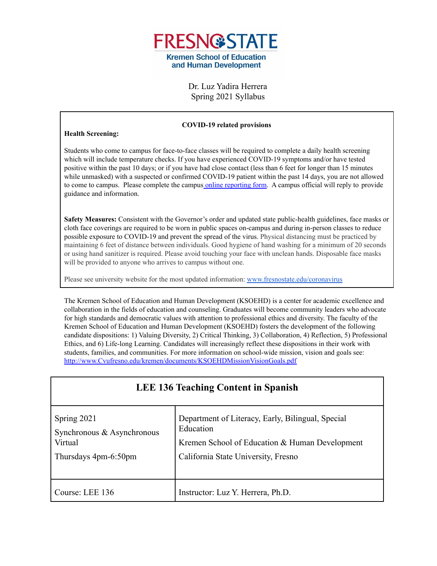

Dr. Luz Yadira Herrera Spring 2021 Syllabus

#### **COVID-19 related provisions**

#### **Health Screening:**

Students who come to campus for face-to-face classes will be required to complete a daily health screening which will include temperature checks. If you have experienced COVID-19 symptoms and/or have tested positive within the past 10 days; or if you have had close contact (less than 6 feet for longer than 15 minutes while unmasked) with a suspected or confirmed COVID-19 patient within the past 14 days, you are not allowed to come to campus. Please complete the campus online [reporting](https://fresnostate.co1.qualtrics.com/jfe/form/SV_3faIAsuC8CzuFjD?Q_FormSessionID=FS_UFJ902LXgDJbKeZ) form. A campus official will reply to provide guidance and information.

**Safety Measures:** Consistent with the Governor's order and updated state public-health guidelines, face masks or cloth face coverings are required to be worn in public spaces on-campus and during in-person classes to reduce possible exposure to COVID-19 and prevent the spread of the virus. Physical distancing must be practiced by maintaining 6 feet of distance between individuals. Good hygiene of hand washing for a minimum of 20 seconds or using hand sanitizer is required. Please avoid touching your face with unclean hands. Disposable face masks will be provided to anyone who arrives to campus without one.

Please see university website for the most updated information: [www.fresnostate.edu/coronavirus](http://www.fresnostate.edu/coronavirus)

The Kremen School of Education and Human Development (KSOEHD) is a center for academic excellence and collaboration in the fields of education and counseling. Graduates will become community leaders who advocate for high standards and democratic values with attention to professional ethics and diversity. The faculty of the Kremen School of Education and Human Development (KSOEHD) fosters the development of the following candidate dispositions: 1) Valuing Diversity, 2) Critical Thinking, 3) Collaboration, 4) Reflection, 5) Professional Ethics, and 6) Life-long Learning. Candidates will increasingly reflect these dispositions in their work with students, families, and communities. For more information on school-wide mission, vision and goals see: [http://www.Cvufresno.edu/kremen/documents/KSOEHDMissionVisionGoals.pdf](http://www.csufresno.edu/kremen/documents/KSOEHDMissionVisionGoals.pdf)

| <b>LEE 136 Teaching Content in Spanish</b>                                   |                                                                                                                                                         |  |  |
|------------------------------------------------------------------------------|---------------------------------------------------------------------------------------------------------------------------------------------------------|--|--|
| Spring 2021<br>Synchronous & Asynchronous<br>Virtual<br>Thursdays 4pm-6:50pm | Department of Literacy, Early, Bilingual, Special<br>Education<br>Kremen School of Education & Human Development<br>California State University, Fresno |  |  |
| Course: LEE 136                                                              | Instructor: Luz Y. Herrera, Ph.D.                                                                                                                       |  |  |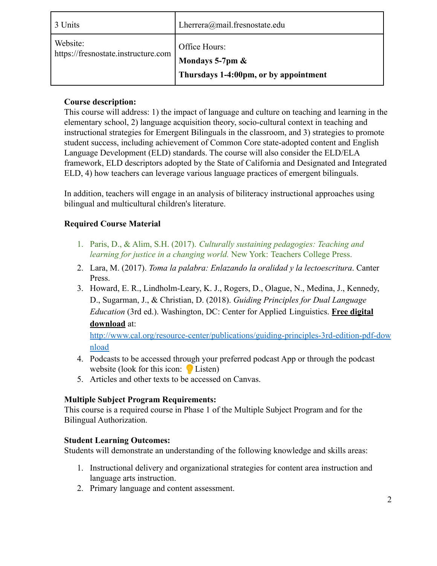| 3 Units                                         | Lherrera@mail.fresnostate.edu                                             |
|-------------------------------------------------|---------------------------------------------------------------------------|
| Website:<br>https://fresnostate.instructure.com | Office Hours:<br>Mondays 5-7pm &<br>Thursdays 1-4:00pm, or by appointment |

# **Course description:**

This course will address: 1) the impact of language and culture on teaching and learning in the elementary school, 2) language acquisition theory, socio-cultural context in teaching and instructional strategies for Emergent Bilinguals in the classroom, and 3) strategies to promote student success, including achievement of Common Core state-adopted content and English Language Development (ELD) standards. The course will also consider the ELD/ELA framework, ELD descriptors adopted by the State of California and Designated and Integrated ELD, 4) how teachers can leverage various language practices of emergent bilinguals.

In addition, teachers will engage in an analysis of biliteracy instructional approaches using bilingual and multicultural children's literature.

# **Required Course Material**

- 1. Paris, D., & Alim, S.H. (2017). *Culturally sustaining pedagogies: Teaching and learning for justice in a changing world.* New York: Teachers College Press.
- 2. Lara, M. (2017). *Toma la palabra: Enlazando la oralidad y la lectoescritura*. Canter Press.
- 3. Howard, E. R., Lindholm-Leary, K. J., Rogers, D., Olague, N., Medina, J., Kennedy, D., Sugarman, J., & Christian, D. (2018). *Guiding Principles for Dual Language Education* (3rd ed.). Washington, DC: Center for Applied Linguistics. **Free digital download** at:

[http://www.cal.org/resource-center/publications/guiding-principles-3rd-edition-pdf-dow](http://www.cal.org/resource-center/publications/guiding-principles-3rd-edition-pdf-download) [nload](http://www.cal.org/resource-center/publications/guiding-principles-3rd-edition-pdf-download)

- 4. Podcasts to be accessed through your preferred podcast App or through the podcast website (look for this icon:  $\bigcirc$  Listen)
- 5. Articles and other texts to be accessed on Canvas.

# **Multiple Subject Program Requirements:**

This course is a required course in Phase 1 of the Multiple Subject Program and for the Bilingual Authorization.

#### **Student Learning Outcomes:**

Students will demonstrate an understanding of the following knowledge and skills areas:

- 1. Instructional delivery and organizational strategies for content area instruction and language arts instruction.
- 2. Primary language and content assessment.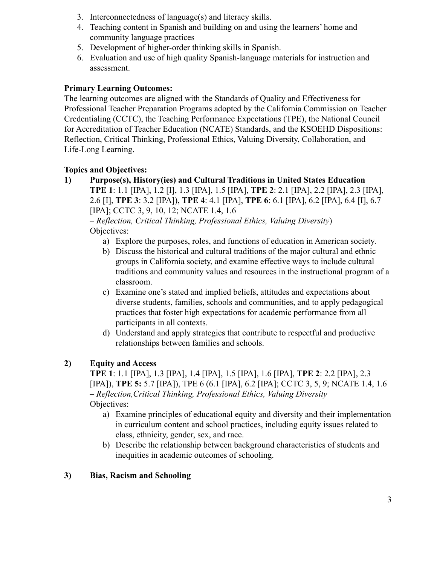- 3. Interconnectedness of language(s) and literacy skills.
- 4. Teaching content in Spanish and building on and using the learners' home and community language practices
- 5. Development of higher-order thinking skills in Spanish.
- 6. Evaluation and use of high quality Spanish-language materials for instruction and assessment.

#### **Primary Learning Outcomes:**

The learning outcomes are aligned with the Standards of Quality and Effectiveness for Professional Teacher Preparation Programs adopted by the California Commission on Teacher Credentialing (CCTC), the Teaching Performance Expectations (TPE), the National Council for Accreditation of Teacher Education (NCATE) Standards, and the KSOEHD Dispositions: Reflection, Critical Thinking, Professional Ethics, Valuing Diversity, Collaboration, and Life-Long Learning.

#### **Topics and Objectives:**

**1) Purpose(s), History(ies) and Cultural Traditions in United States Education TPE 1**: 1.1 [IPA], 1.2 [I], 1.3 [IPA], 1.5 [IPA], **TPE 2**: 2.1 [IPA], 2.2 [IPA], 2.3 [IPA], 2.6 [I], **TPE 3**: 3.2 [IPA]), **TPE 4**: 4.1 [IPA], **TPE 6**: 6.1 [IPA], 6.2 [IPA], 6.4 [I], 6.7 [IPA]; CCTC 3, 9, 10, 12; NCATE 1.4, 1.6

– *Reflection, Critical Thinking, Professional Ethics, Valuing Diversity*) Objectives:

- a) Explore the purposes, roles, and functions of education in American society.
- b) Discuss the historical and cultural traditions of the major cultural and ethnic groups in California society, and examine effective ways to include cultural traditions and community values and resources in the instructional program of a classroom.
- c) Examine one's stated and implied beliefs, attitudes and expectations about diverse students, families, schools and communities, and to apply pedagogical practices that foster high expectations for academic performance from all participants in all contexts.
- d) Understand and apply strategies that contribute to respectful and productive relationships between families and schools.

# **2) Equity and Access**

**TPE 1**: 1.1 [IPA], 1.3 [IPA], 1.4 [IPA], 1.5 [IPA], 1.6 [IPA], **TPE 2**: 2.2 [IPA], 2.3 [IPA]), **TPE 5:** 5.7 [IPA]), TPE 6 (6.1 [IPA], 6.2 [IPA]; CCTC 3, 5, 9; NCATE 1.4, 1.6 – *Reflection,Critical Thinking, Professional Ethics, Valuing Diversity* Objectives:

- a) Examine principles of educational equity and diversity and their implementation in curriculum content and school practices, including equity issues related to class, ethnicity, gender, sex, and race.
- b) Describe the relationship between background characteristics of students and inequities in academic outcomes of schooling.

#### **3) Bias, Racism and Schooling**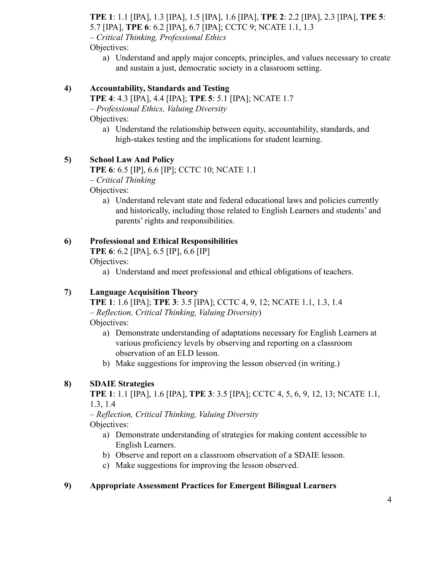**TPE 1**: 1.1 [IPA], 1.3 [IPA], 1.5 [IPA], 1.6 [IPA], **TPE 2**: 2.2 [IPA], 2.3 [IPA], **TPE 5**: 5.7 [IPA], **TPE 6**: 6.2 [IPA], 6.7 [IPA]; CCTC 9; NCATE 1.1, 1.3 – *Critical Thinking, Professional Ethics*

Objectives:

a) Understand and apply major concepts, principles, and values necessary to create and sustain a just, democratic society in a classroom setting.

# **4) Accountability, Standards and Testing**

**TPE 4**: 4.3 [IPA], 4.4 [IPA]; **TPE 5**: 5.1 [IPA]; NCATE 1.7 – *Professional Ethics, Valuing Diversity*

Objectives:

a) Understand the relationship between equity, accountability, standards, and high-stakes testing and the implications for student learning.

# **5) School Law And Policy**

**TPE 6**: 6.5 [IP], 6.6 [IP]; CCTC 10; NCATE 1.1

– *Critical Thinking*

Objectives:

a) Understand relevant state and federal educational laws and policies currently and historically, including those related to English Learners and students' and parents' rights and responsibilities.

# **6) Professional and Ethical Responsibilities**

**TPE 6**: 6.2 [IPA], 6.5 [IP], 6.6 [IP]

Objectives:

a) Understand and meet professional and ethical obligations of teachers.

# **7) Language Acquisition Theory**

**TPE 1**: 1.6 [IPA]; **TPE 3**: 3.5 [IPA]; CCTC 4, 9, 12; NCATE 1.1, 1.3, 1.4 – *Reflection, Critical Thinking, Valuing Diversity*) Objectives:

- a) Demonstrate understanding of adaptations necessary for English Learners at various proficiency levels by observing and reporting on a classroom observation of an ELD lesson.
- b) Make suggestions for improving the lesson observed (in writing.)

# **8) SDAIE Strategies**

**TPE 1**: 1.1 [IPA], 1.6 [IPA], **TPE 3**: 3.5 [IPA]; CCTC 4, 5, 6, 9, 12, 13; NCATE 1.1, 1.3, 1.4

– *Reflection, Critical Thinking, Valuing Diversity* Objectives:

- a) Demonstrate understanding of strategies for making content accessible to English Learners.
- b) Observe and report on a classroom observation of a SDAIE lesson.
- c) Make suggestions for improving the lesson observed.

# **9) Appropriate Assessment Practices for Emergent Bilingual Learners**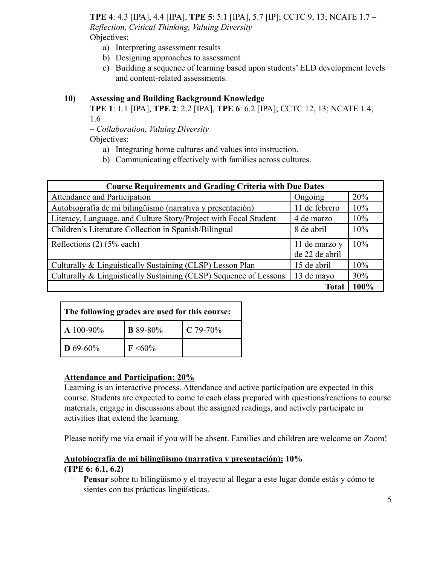**TPE 4**: 4.3 [IPA], 4.4 [IPA], **TPE 5**: 5.1 [IPA], 5.7 [IP]; CCTC 9, 13; NCATE 1.7 – *Reflection, Critical Thinking, Valuing Diversity* Objectives:

- a) Interpreting assessment results
- b) Designing approaches to assessment
- c) Building a sequence of learning based upon students' ELD development levels and content-related assessments.

#### **10) Assessing and Building Background Knowledge**

**TPE 1**: 1.1 [IPA], **TPE 2**: 2.2 [IPA], **TPE 6**: 6.2 [IPA]; CCTC 12, 13; NCATE 1.4, 1.6

– *Collaboration, Valuing Diversity*

Objectives:

- a) Integrating home cultures and values into instruction.
- b) Communicating effectively with families across cultures.

| <b>Course Requirements and Grading Criteria with Due Dates</b>    |                                 |      |  |  |
|-------------------------------------------------------------------|---------------------------------|------|--|--|
| Attendance and Participation                                      | Ongoing                         | 20%  |  |  |
| Autobiografía de mi bilingüismo (narrativa y presentación)        | 11 de febrero                   | 10%  |  |  |
| Literacy, Language, and Culture Story/Project with Focal Student  | 4 de marzo                      | 10%  |  |  |
| Children's Literature Collection in Spanish/Bilingual             | 8 de abril                      | 10%  |  |  |
| Reflections $(2)$ (5% each)                                       | 11 de marzo y<br>de 22 de abril | 10%  |  |  |
| Culturally & Linguistically Sustaining (CLSP) Lesson Plan         | 15 de abril                     | 10%  |  |  |
| Culturally & Linguistically Sustaining (CLSP) Sequence of Lessons | 13 de mayo                      | 30%  |  |  |
|                                                                   | Total                           | 100% |  |  |

| The following grades are used for this course: |                               |  |  |  |  |
|------------------------------------------------|-------------------------------|--|--|--|--|
| $\Delta 100 - 90\%$                            | <b>B</b> 89-80%<br>$C$ 79-70% |  |  |  |  |
| $\ln 69 - 60\%$                                | $\rm F \leq 60\%$             |  |  |  |  |

#### **Attendance and Participation: 20%**

Learning is an interactive process. Attendance and active participation are expected in this course. Students are expected to come to each class prepared with questions/reactions to course materials, engage in discussions about the assigned readings, and actively participate in activities that extend the learning.

Please notify me via email if you will be absent. Families and children are welcome on Zoom!

# **Autobiografía de mi bilingüismo (narrativa y presentación): 10%**

#### **(TPE 6: 6.1, 6.2)**

· **Pensar** sobre tu bilingüismo y el trayecto al llegar a este lugar donde estás y cómo te sientes con tus prácticas lingüísticas.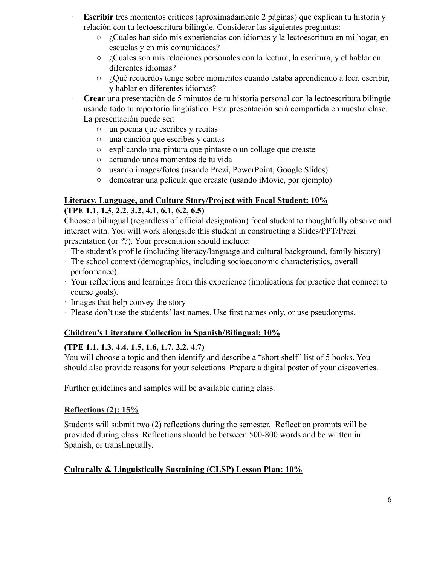- **Escribir** tres momentos críticos (aproximadamente 2 páginas) que explican tu historia y relación con tu lectoescritura bilingüe. Considerar las siguientes preguntas:
	- ¿Cuales han sido mis experiencias con idiomas y la lectoescritura en mi hogar, en escuelas y en mis comunidades?
	- ¿Cuales son mis relaciones personales con la lectura, la escritura, y el hablar en diferentes idiomas?
	- ¿Qué recuerdos tengo sobre momentos cuando estaba aprendiendo a leer, escribir, y hablar en diferentes idiomas?

· **Crear** una presentación de 5 minutos de tu historia personal con la lectoescritura bilingüe usando todo tu repertorio lingüístico. Esta presentación será compartida en nuestra clase. La presentación puede ser:

- un poema que escribes y recitas
- una canción que escribes y cantas
- explicando una pintura que pintaste o un collage que creaste
- actuando unos momentos de tu vida
- usando images/fotos (usando Prezi, PowerPoint, Google Slides)
- demostrar una película que creaste (usando iMovie, por ejemplo)

### **Literacy, Language, and Culture Story/Project with Focal Student: 10% (TPE 1.1, 1.3, 2.2, 3.2, 4.1, 6.1, 6.2, 6.5)**

Choose a bilingual (regardless of official designation) focal student to thoughtfully observe and interact with. You will work alongside this student in constructing a Slides/PPT/Prezi presentation (or ??). Your presentation should include:

- · The student's profile (including literacy/language and cultural background, family history)
- · The school context (demographics, including socioeconomic characteristics, overall performance)
- · Your reflections and learnings from this experience (implications for practice that connect to course goals).
- · Images that help convey the story
- · Please don't use the students' last names. Use first names only, or use pseudonyms.

# **Children's Literature Collection in Spanish/Bilingual: 10%**

# **(TPE 1.1, 1.3, 4.4, 1.5, 1.6, 1.7, 2.2, 4.7)**

You will choose a topic and then identify and describe a "short shelf" list of 5 books. You should also provide reasons for your selections. Prepare a digital poster of your discoveries.

Further guidelines and samples will be available during class.

#### **Reflections (2): 15%**

Students will submit two (2) reflections during the semester. Reflection prompts will be provided during class. Reflections should be between 500-800 words and be written in Spanish, or translingually.

# **Culturally & Linguistically Sustaining (CLSP) Lesson Plan: 10%**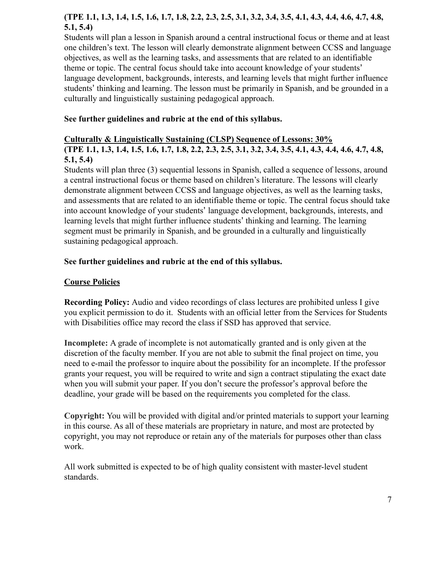# **(TPE 1.1, 1.3, 1.4, 1.5, 1.6, 1.7, 1.8, 2.2, 2.3, 2.5, 3.1, 3.2, 3.4, 3.5, 4.1, 4.3, 4.4, 4.6, 4.7, 4.8, 5.1, 5.4)**

Students will plan a lesson in Spanish around a central instructional focus or theme and at least one children's text. The lesson will clearly demonstrate alignment between CCSS and language objectives, as well as the learning tasks, and assessments that are related to an identifiable theme or topic. The central focus should take into account knowledge of your students' language development, backgrounds, interests, and learning levels that might further influence students' thinking and learning. The lesson must be primarily in Spanish, and be grounded in a culturally and linguistically sustaining pedagogical approach.

#### **See further guidelines and rubric at the end of this syllabus.**

#### **Culturally & Linguistically Sustaining (CLSP) Sequence of Lessons: 30%**

**(TPE 1.1, 1.3, 1.4, 1.5, 1.6, 1.7, 1.8, 2.2, 2.3, 2.5, 3.1, 3.2, 3.4, 3.5, 4.1, 4.3, 4.4, 4.6, 4.7, 4.8, 5.1, 5.4)**

Students will plan three (3) sequential lessons in Spanish, called a sequence of lessons, around a central instructional focus or theme based on children's literature. The lessons will clearly demonstrate alignment between CCSS and language objectives, as well as the learning tasks, and assessments that are related to an identifiable theme or topic. The central focus should take into account knowledge of your students' language development, backgrounds, interests, and learning levels that might further influence students' thinking and learning. The learning segment must be primarily in Spanish, and be grounded in a culturally and linguistically sustaining pedagogical approach.

#### **See further guidelines and rubric at the end of this syllabus.**

#### **Course Policies**

**Recording Policy:** Audio and video recordings of class lectures are prohibited unless I give you explicit permission to do it. Students with an official letter from the Services for Students with Disabilities office may record the class if SSD has approved that service.

**Incomplete:** A grade of incomplete is not automatically granted and is only given at the discretion of the faculty member. If you are not able to submit the final project on time, you need to e-mail the professor to inquire about the possibility for an incomplete. If the professor grants your request, you will be required to write and sign a contract stipulating the exact date when you will submit your paper. If you don't secure the professor's approval before the deadline, your grade will be based on the requirements you completed for the class.

**Copyright:** You will be provided with digital and/or printed materials to support your learning in this course. As all of these materials are proprietary in nature, and most are protected by copyright, you may not reproduce or retain any of the materials for purposes other than class work.

All work submitted is expected to be of high quality consistent with master-level student standards.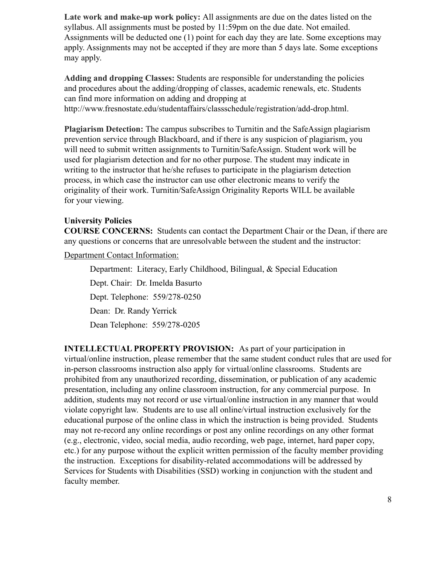**Late work and make-up work policy:** All assignments are due on the dates listed on the syllabus. All assignments must be posted by 11:59pm on the due date. Not emailed. Assignments will be deducted one (1) point for each day they are late. Some exceptions may apply. Assignments may not be accepted if they are more than 5 days late. Some exceptions may apply.

**Adding and dropping Classes:** Students are responsible for understanding the policies and procedures about the adding/dropping of classes, academic renewals, etc. Students can find more information on adding and dropping at http://www.fresnostate.edu/studentaffairs/classschedule/registration/add-drop.html.

**Plagiarism Detection:** The campus subscribes to Turnitin and the SafeAssign plagiarism prevention service through Blackboard, and if there is any suspicion of plagiarism, you will need to submit written assignments to Turnitin/SafeAssign. Student work will be used for plagiarism detection and for no other purpose. The student may indicate in writing to the instructor that he/she refuses to participate in the plagiarism detection process, in which case the instructor can use other electronic means to verify the originality of their work. Turnitin/SafeAssign Originality Reports WILL be available for your viewing.

#### **University Policies**

**COURSE CONCERNS:** Students can contact the Department Chair or the Dean, if there are any questions or concerns that are unresolvable between the student and the instructor:

Department Contact Information:

Department: Literacy, Early Childhood, Bilingual, & Special Education Dept. Chair: Dr. Imelda Basurto Dept. Telephone: 559/278-0250 Dean: Dr. Randy Yerrick Dean Telephone: 559/278-0205

**INTELLECTUAL PROPERTY PROVISION:** As part of your participation in virtual/online instruction, please remember that the same student conduct rules that are used for in-person classrooms instruction also apply for virtual/online classrooms. Students are prohibited from any unauthorized recording, dissemination, or publication of any academic presentation, including any online classroom instruction, for any commercial purpose. In addition, students may not record or use virtual/online instruction in any manner that would violate copyright law. Students are to use all online/virtual instruction exclusively for the educational purpose of the online class in which the instruction is being provided. Students may not re-record any online recordings or post any online recordings on any other format (e.g., electronic, video, social media, audio recording, web page, internet, hard paper copy, etc.) for any purpose without the explicit written permission of the faculty member providing the instruction. Exceptions for disability-related accommodations will be addressed by Services for Students with Disabilities (SSD) working in conjunction with the student and faculty member.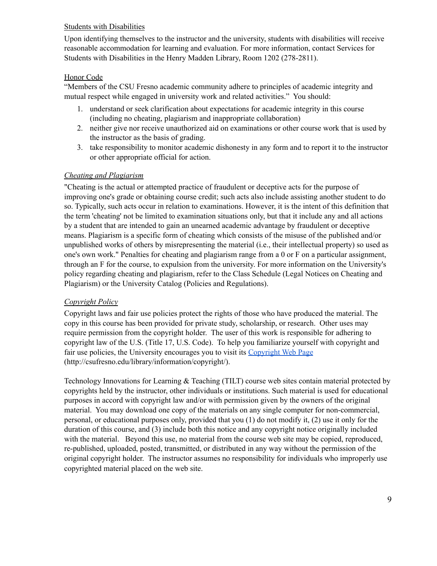#### Students with Disabilities

Upon identifying themselves to the instructor and the university, students with disabilities will receive reasonable accommodation for learning and evaluation. For more information, contact Services for Students with Disabilities in the Henry Madden Library, Room 1202 (278-2811).

#### Honor Code

"Members of the CSU Fresno academic community adhere to principles of academic integrity and mutual respect while engaged in university work and related activities." You should:

- 1. understand or seek clarification about expectations for academic integrity in this course (including no cheating, plagiarism and inappropriate collaboration)
- 2. neither give nor receive unauthorized aid on examinations or other course work that is used by the instructor as the basis of grading.
- 3. take responsibility to monitor academic dishonesty in any form and to report it to the instructor or other appropriate official for action.

#### *Cheating and Plagiarism*

"Cheating is the actual or attempted practice of fraudulent or deceptive acts for the purpose of improving one's grade or obtaining course credit; such acts also include assisting another student to do so. Typically, such acts occur in relation to examinations. However, it is the intent of this definition that the term 'cheating' not be limited to examination situations only, but that it include any and all actions by a student that are intended to gain an unearned academic advantage by fraudulent or deceptive means. Plagiarism is a specific form of cheating which consists of the misuse of the published and/or unpublished works of others by misrepresenting the material (i.e., their intellectual property) so used as one's own work." Penalties for cheating and plagiarism range from a 0 or F on a particular assignment, through an F for the course, to expulsion from the university. For more information on the University's policy regarding cheating and plagiarism, refer to the Class Schedule (Legal Notices on Cheating and Plagiarism) or the University Catalog (Policies and Regulations).

#### *Copyright Policy*

Copyright laws and fair use policies protect the rights of those who have produced the material. The copy in this course has been provided for private study, scholarship, or research. Other uses may require permission from the copyright holder. The user of this work is responsible for adhering to copyright law of the U.S. (Title 17, U.S. Code). To help you familiarize yourself with copyright and fair use policies, the University encourages you to visit its [Copyright](http://csufresno.edu/library/information/copyright/) Web Page (http://csufresno.edu/library/information/copyright/).

Technology Innovations for Learning & Teaching (TILT) course web sites contain material protected by copyrights held by the instructor, other individuals or institutions. Such material is used for educational purposes in accord with copyright law and/or with permission given by the owners of the original material. You may download one copy of the materials on any single computer for non-commercial, personal, or educational purposes only, provided that you (1) do not modify it, (2) use it only for the duration of this course, and (3) include both this notice and any copyright notice originally included with the material. Beyond this use, no material from the course web site may be copied, reproduced, re-published, uploaded, posted, transmitted, or distributed in any way without the permission of the original copyright holder. The instructor assumes no responsibility for individuals who improperly use copyrighted material placed on the web site.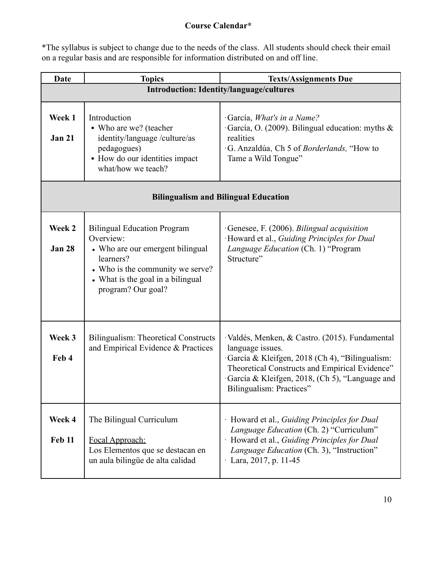# **Course Calendar\***

\*The syllabus is subject to change due to the needs of the class. All students should check their email on a regular basis and are responsible for information distributed on and off line.

| <b>Date</b>             | <b>Topics</b>                                                                                                                                                                                   | <b>Texts/Assignments Due</b>                                                                                                                                                                                                                        |
|-------------------------|-------------------------------------------------------------------------------------------------------------------------------------------------------------------------------------------------|-----------------------------------------------------------------------------------------------------------------------------------------------------------------------------------------------------------------------------------------------------|
|                         |                                                                                                                                                                                                 | <b>Introduction: Identity/language/cultures</b>                                                                                                                                                                                                     |
| Week 1<br><b>Jan 21</b> | Introduction<br>• Who are we? (teacher<br>identity/language /culture/as<br>pedagogues)<br>• How do our identities impact<br>what/how we teach?                                                  | García, What's in a Name?<br>García, O. (2009). Bilingual education: myths $\&$<br>realities<br>G. Anzaldúa, Ch 5 of Borderlands, "How to<br>Tame a Wild Tongue"                                                                                    |
|                         |                                                                                                                                                                                                 | <b>Bilingualism and Bilingual Education</b>                                                                                                                                                                                                         |
| Week 2<br><b>Jan 28</b> | <b>Bilingual Education Program</b><br>Overview:<br>• Who are our emergent bilingual<br>learners?<br>• Who is the community we serve?<br>• What is the goal in a bilingual<br>program? Our goal? | Genesee, F. (2006). Bilingual acquisition<br>Howard et al., Guiding Principles for Dual<br>Language Education (Ch. 1) "Program<br>Structure"                                                                                                        |
| Week 3<br>Feb 4         | <b>Bilingualism: Theoretical Constructs</b><br>and Empirical Evidence & Practices                                                                                                               | Valdés, Menken, & Castro. (2015). Fundamental<br>language issues.<br>García & Kleifgen, 2018 (Ch 4), "Bilingualism:<br>Theoretical Constructs and Empirical Evidence"<br>García & Kleifgen, 2018, (Ch 5), "Language and<br>Bilingualism: Practices" |
| Week 4<br><b>Feb 11</b> | The Bilingual Curriculum<br>Focal Approach:<br>Los Elementos que se destacan en<br>un aula bilingüe de alta calidad                                                                             | · Howard et al., Guiding Principles for Dual<br>Language Education (Ch. 2) "Curriculum"<br>Howard et al., Guiding Principles for Dual<br>Language Education (Ch. 3), "Instruction"<br>$\cdot$ Lara, 2017, p. 11-45                                  |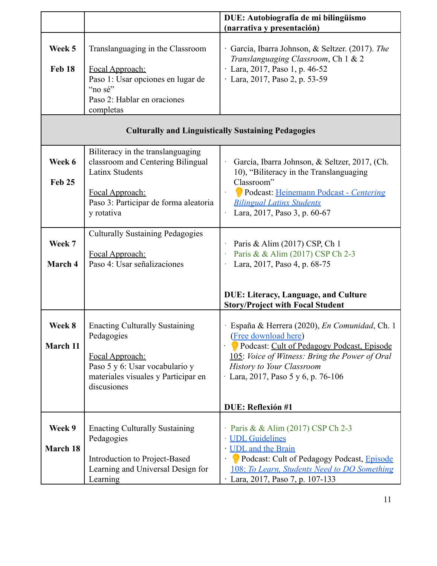|                         |                                                                                                                                                                | DUE: Autobiografía de mi bilingüismo<br>(narrativa y presentación)                                                                                                                                                                            |
|-------------------------|----------------------------------------------------------------------------------------------------------------------------------------------------------------|-----------------------------------------------------------------------------------------------------------------------------------------------------------------------------------------------------------------------------------------------|
|                         |                                                                                                                                                                |                                                                                                                                                                                                                                               |
| Week 5<br><b>Feb 18</b> | Translanguaging in the Classroom<br>Focal Approach:<br>Paso 1: Usar opciones en lugar de<br>"no sé"                                                            | García, Ibarra Johnson, & Seltzer. (2017). The<br>Translanguaging Classroom, Ch 1 & 2<br>$\cdot$ Lara, 2017, Paso 1, p. 46-52<br>· Lara, 2017, Paso 2, p. 53-59                                                                               |
|                         | Paso 2: Hablar en oraciones<br>completas                                                                                                                       |                                                                                                                                                                                                                                               |
|                         |                                                                                                                                                                | <b>Culturally and Linguistically Sustaining Pedagogies</b>                                                                                                                                                                                    |
| Week 6<br><b>Feb 25</b> | Biliteracy in the translanguaging<br>classroom and Centering Bilingual<br><b>Latinx Students</b><br>Focal Approach:<br>Paso 3: Participar de forma aleatoria   | García, Ibarra Johnson, & Seltzer, 2017, (Ch.<br>10), "Biliteracy in the Translanguaging<br>Classroom"<br>Podcast: Heinemann Podcast - Centering<br>$\cdot$<br><b>Bilingual Latinx Students</b>                                               |
|                         | y rotativa                                                                                                                                                     | Lara, 2017, Paso 3, p. 60-67                                                                                                                                                                                                                  |
| Week 7<br>March 4       | <b>Culturally Sustaining Pedagogies</b><br>Focal Approach:<br>Paso 4: Usar señalizaciones                                                                      | Paris & Alim (2017) CSP, Ch 1<br>Paris & & Alim (2017) CSP Ch 2-3<br>Lara, 2017, Paso 4, p. 68-75                                                                                                                                             |
|                         |                                                                                                                                                                | <b>DUE: Literacy, Language, and Culture</b><br><b>Story/Project with Focal Student</b>                                                                                                                                                        |
| Week 8<br>March 11      | <b>Enacting Culturally Sustaining</b><br>Pedagogies<br>Focal Approach:<br>Paso 5 y 6: Usar vocabulario y<br>materiales visuales y Participar en<br>discusiones | España & Herrera (2020), En Comunidad, Ch. 1<br>(Free download here)<br>Podcast: Cult of Pedagogy Podcast, Episode<br>105: Voice of Witness: Bring the Power of Oral<br><b>History to Your Classroom</b><br>Lara, 2017, Paso 5 y 6, p. 76-106 |
|                         |                                                                                                                                                                | DUE: Reflexión #1                                                                                                                                                                                                                             |
| Week 9<br>March 18      | <b>Enacting Culturally Sustaining</b><br>Pedagogies<br>Introduction to Project-Based<br>Learning and Universal Design for                                      | Paris & & Alim (2017) CSP Ch 2-3<br><b>UDL</b> Guidelines<br>· UDL and the Brain<br>Podcast: Cult of Pedagogy Podcast, Episode<br>108: To Learn, Students Need to DO Something                                                                |
|                         | Learning                                                                                                                                                       | Lara, 2017, Paso 7, p. 107-133                                                                                                                                                                                                                |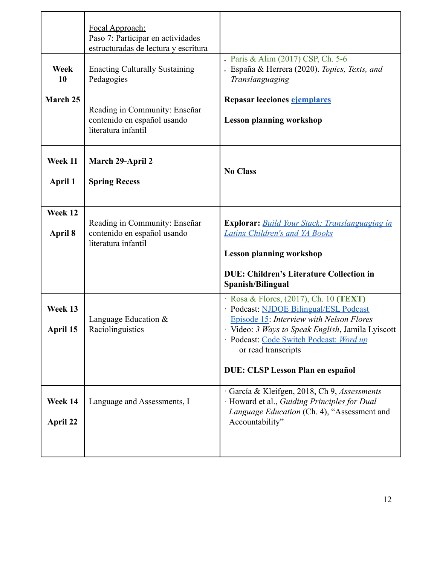|                     | Focal Approach:<br>Paso 7: Participar en actividades<br>estructuradas de lectura y escritura |                                                                                                                                                                                                                                                                                                                         |
|---------------------|----------------------------------------------------------------------------------------------|-------------------------------------------------------------------------------------------------------------------------------------------------------------------------------------------------------------------------------------------------------------------------------------------------------------------------|
| Week<br>10          | <b>Enacting Culturally Sustaining</b><br>Pedagogies                                          | . Paris & Alim (2017) CSP, Ch. 5-6<br>. España & Herrera (2020). Topics, Texts, and<br>Translanguaging                                                                                                                                                                                                                  |
| March 25            | Reading in Community: Enseñar<br>contenido en español usando<br>literatura infantil          | Repasar lecciones ejemplares<br><b>Lesson planning workshop</b>                                                                                                                                                                                                                                                         |
| Week 11<br>April 1  | March 29-April 2<br><b>Spring Recess</b>                                                     | <b>No Class</b>                                                                                                                                                                                                                                                                                                         |
| Week 12<br>April 8  | Reading in Community: Enseñar<br>contenido en español usando<br>literatura infantil          | <b>Explorar:</b> Build Your Stack: Translanguaging in<br><b>Latinx Children's and YA Books</b><br><b>Lesson planning workshop</b><br><b>DUE: Children's Literature Collection in</b>                                                                                                                                    |
| Week 13<br>April 15 | Language Education $&$<br>Raciolinguistics                                                   | Spanish/Bilingual<br>$\cdot$ Rosa & Flores, (2017), Ch. 10 (TEXT)<br>· Podcast: NJDOE Bilingual/ESL Podcast<br><b>Episode 15: Interview with Nelson Flores</b><br>Video: 3 Ways to Speak English, Jamila Lyiscott<br>- Podcast: Code Switch Podcast: Word up<br>or read transcripts<br>DUE: CLSP Lesson Plan en español |
| Week 14<br>April 22 | Language and Assessments, I                                                                  | García & Kleifgen, 2018, Ch 9, Assessments<br>Howard et al., Guiding Principles for Dual<br>Language Education (Ch. 4), "Assessment and<br>Accountability"                                                                                                                                                              |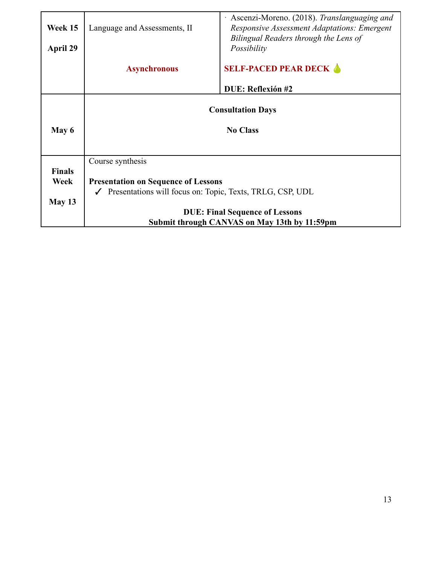| Week 15       | $\cdot$ Ascenzi-Moreno. (2018). Translanguaging and<br>Language and Assessments, II<br><b>Responsive Assessment Adaptations: Emergent</b> |                                                      |  |  |
|---------------|-------------------------------------------------------------------------------------------------------------------------------------------|------------------------------------------------------|--|--|
| April 29      |                                                                                                                                           | Bilingual Readers through the Lens of<br>Possibility |  |  |
|               | <b>Asynchronous</b>                                                                                                                       | <b>SELF-PACED PEAR DECK A</b>                        |  |  |
|               |                                                                                                                                           | DUE: Reflexión #2                                    |  |  |
|               | <b>Consultation Days</b>                                                                                                                  |                                                      |  |  |
| May 6         | <b>No Class</b>                                                                                                                           |                                                      |  |  |
|               |                                                                                                                                           |                                                      |  |  |
|               | Course synthesis                                                                                                                          |                                                      |  |  |
| <b>Finals</b> |                                                                                                                                           |                                                      |  |  |
| Week          | <b>Presentation on Sequence of Lessons</b>                                                                                                |                                                      |  |  |
|               | $\checkmark$ Presentations will focus on: Topic, Texts, TRLG, CSP, UDL                                                                    |                                                      |  |  |
| May $13$      |                                                                                                                                           |                                                      |  |  |
|               |                                                                                                                                           | <b>DUE: Final Sequence of Lessons</b>                |  |  |
|               |                                                                                                                                           | Submit through CANVAS on May 13th by 11:59pm         |  |  |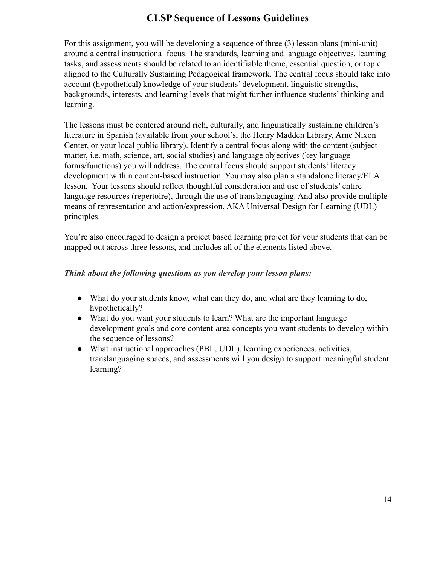# **CLSP Sequence of Lessons Guidelines**

For this assignment, you will be developing a sequence of three (3) lesson plans (mini-unit) around a central instructional focus. The standards, learning and language objectives, learning tasks, and assessments should be related to an identifiable theme, essential question, or topic aligned to the Culturally Sustaining Pedagogical framework. The central focus should take into account (hypothetical) knowledge of your students' development, linguistic strengths, backgrounds, interests, and learning levels that might further influence students' thinking and learning.

The lessons must be centered around rich, culturally, and linguistically sustaining children's literature in Spanish (available from your school's, the Henry Madden Library, Arne Nixon Center, or your local public library). Identify a central focus along with the content (subject matter, i.e. math, science, art, social studies) and language objectives (key language forms/functions) you will address. The central focus should support students' literacy development within content-based instruction. You may also plan a standalone literacy/ELA lesson. Your lessons should reflect thoughtful consideration and use of students' entire language resources (repertoire), through the use of translanguaging. And also provide multiple means of representation and action/expression, AKA Universal Design for Learning (UDL) principles.

You're also encouraged to design a project based learning project for your students that can be mapped out across three lessons, and includes all of the elements listed above.

# *Think about the following questions as you develop your lesson plans:*

- What do your students know, what can they do, and what are they learning to do, hypothetically?
- What do you want your students to learn? What are the important language development goals and core content-area concepts you want students to develop within the sequence of lessons?
- What instructional approaches (PBL, UDL), learning experiences, activities, translanguaging spaces, and assessments will you design to support meaningful student learning?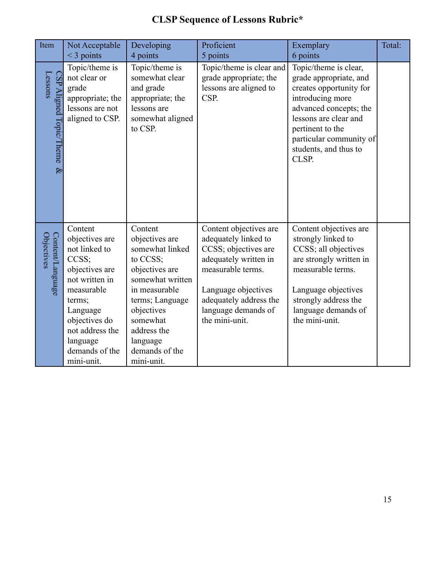| Item                                    | Not Acceptable<br>$<$ 3 points                                                                                                                                                                              | Developing<br>4 points                                                                                                                                                                                                  | Proficient<br>5 points                                                                                                                                                                                         | Exemplary<br>6 points                                                                                                                                                                                                              | Total: |
|-----------------------------------------|-------------------------------------------------------------------------------------------------------------------------------------------------------------------------------------------------------------|-------------------------------------------------------------------------------------------------------------------------------------------------------------------------------------------------------------------------|----------------------------------------------------------------------------------------------------------------------------------------------------------------------------------------------------------------|------------------------------------------------------------------------------------------------------------------------------------------------------------------------------------------------------------------------------------|--------|
| Lessons<br>CSP Aligned Topic/Theme<br>& | Topic/theme is<br>not clear or<br>grade<br>appropriate; the<br>lessons are not<br>aligned to CSP.                                                                                                           | Topic/theme is<br>somewhat clear<br>and grade<br>appropriate; the<br>lessons are<br>somewhat aligned<br>to CSP.                                                                                                         | Topic/theme is clear and<br>grade appropriate; the<br>lessons are aligned to<br>CSP.                                                                                                                           | Topic/theme is clear,<br>grade appropriate, and<br>creates opportunity for<br>introducing more<br>advanced concepts; the<br>lessons are clear and<br>pertinent to the<br>particular community of<br>students, and thus to<br>CLSP. |        |
| Content/Language<br>Objectives          | Content<br>objectives are<br>not linked to<br>CCSS:<br>objectives are<br>not written in<br>measurable<br>terms;<br>Language<br>objectives do<br>not address the<br>language<br>demands of the<br>mini-unit. | Content<br>objectives are<br>somewhat linked<br>to CCSS;<br>objectives are<br>somewhat written<br>in measurable<br>terms; Language<br>objectives<br>somewhat<br>address the<br>language<br>demands of the<br>mini-unit. | Content objectives are<br>adequately linked to<br>CCSS; objectives are<br>adequately written in<br>measurable terms.<br>Language objectives<br>adequately address the<br>language demands of<br>the mini-unit. | Content objectives are<br>strongly linked to<br>CCSS; all objectives<br>are strongly written in<br>measurable terms.<br>Language objectives<br>strongly address the<br>language demands of<br>the mini-unit.                       |        |

# **CLSP Sequence of Lessons Rubric\***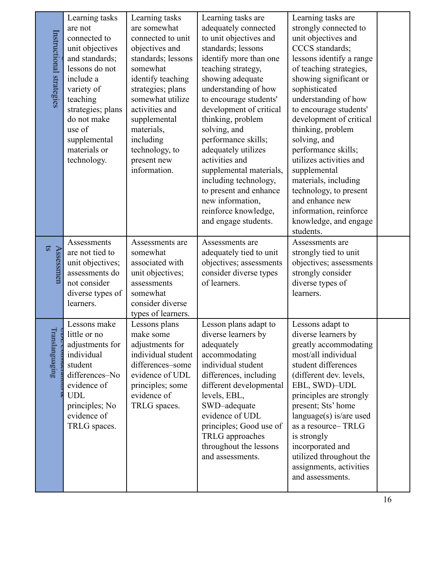| Instructional strategies | Learning tasks<br>are not<br>connected to<br>unit objectives<br>and standards;<br>lessons do not<br>include a<br>variety of<br>teaching<br>strategies; plans<br>do not make<br>use of<br>supplemental<br>materials or<br>technology. | Learning tasks<br>are somewhat<br>connected to unit<br>objectives and<br>standards; lessons<br>somewhat<br>identify teaching<br>strategies; plans<br>somewhat utilize<br>activities and<br>supplemental<br>materials,<br>including<br>technology, to<br>present new<br>information. | Learning tasks are<br>adequately connected<br>to unit objectives and<br>standards; lessons<br>identify more than one<br>teaching strategy,<br>showing adequate<br>understanding of how<br>to encourage students'<br>development of critical<br>thinking, problem<br>solving, and<br>performance skills;<br>adequately utilizes<br>activities and<br>supplemental materials,<br>including technology,<br>to present and enhance<br>new information,<br>reinforce knowledge,<br>and engage students. | Learning tasks are<br>strongly connected to<br>unit objectives and<br>CCCS standards;<br>lessons identify a range<br>of teaching strategies,<br>showing significant or<br>sophisticated<br>understanding of how<br>to encourage students'<br>development of critical<br>thinking, problem<br>solving, and<br>performance skills;<br>utilizes activities and<br>supplemental<br>materials, including<br>technology, to present<br>and enhance new<br>information, reinforce<br>knowledge, and engage<br>students. |  |
|--------------------------|--------------------------------------------------------------------------------------------------------------------------------------------------------------------------------------------------------------------------------------|-------------------------------------------------------------------------------------------------------------------------------------------------------------------------------------------------------------------------------------------------------------------------------------|----------------------------------------------------------------------------------------------------------------------------------------------------------------------------------------------------------------------------------------------------------------------------------------------------------------------------------------------------------------------------------------------------------------------------------------------------------------------------------------------------|------------------------------------------------------------------------------------------------------------------------------------------------------------------------------------------------------------------------------------------------------------------------------------------------------------------------------------------------------------------------------------------------------------------------------------------------------------------------------------------------------------------|--|
| s<br>Assessmen           | Assessments<br>are not tied to<br>unit objectives;<br>assessments do<br>not consider<br>diverse types of<br>learners.                                                                                                                | Assessments are<br>somewhat<br>associated with<br>unit objectives;<br>assessments<br>somewhat<br>consider diverse<br>types of learners.                                                                                                                                             | Assessments are<br>adequately tied to unit<br>objectives; assessments<br>consider diverse types<br>of learners.                                                                                                                                                                                                                                                                                                                                                                                    | Assessments are<br>strongly tied to unit<br>objectives; assessments<br>strongly consider<br>diverse types of<br>learners.                                                                                                                                                                                                                                                                                                                                                                                        |  |
| Translanguaging          | Lessons make<br>little or no<br>adjustments for<br>individual<br>student<br>differences-No<br>evidence of<br><b>UDL</b><br>principles; No<br>evidence of<br>TRLG spaces.                                                             | Lessons plans<br>make some<br>adjustments for<br>individual student<br>differences-some<br>evidence of UDL<br>principles; some<br>evidence of<br>TRLG spaces.                                                                                                                       | Lesson plans adapt to<br>diverse learners by<br>adequately<br>accommodating<br>individual student<br>differences, including<br>different developmental<br>levels, EBL,<br>SWD-adequate<br>evidence of UDL<br>principles; Good use of<br>TRLG approaches<br>throughout the lessons<br>and assessments.                                                                                                                                                                                              | Lessons adapt to<br>diverse learners by<br>greatly accommodating<br>most/all individual<br>student differences<br>(different dev. levels,<br>EBL, SWD)-UDL<br>principles are strongly<br>present; Sts' home<br>language(s) is/are used<br>as a resource-TRLG<br>is strongly<br>incorporated and<br>utilized throughout the<br>assignments, activities<br>and assessments.                                                                                                                                        |  |